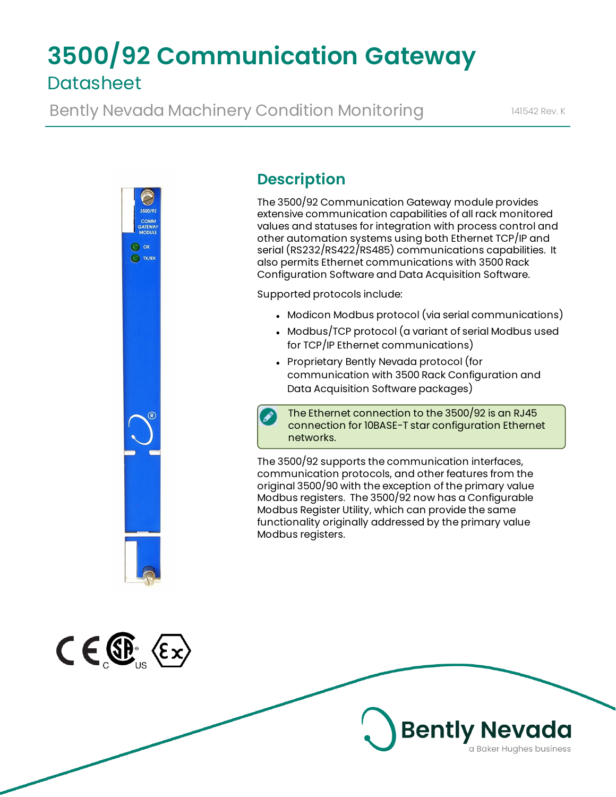# **3500/92 Communication Gateway Datasheet**

Bently Nevada Machinery Condition Monitoring 141542 Rev. K



# **Description**

The 3500/92 Communication Gateway module provides extensive communication capabilities of all rack monitored values and statuses for integration with process control and other automation systems using both Ethernet TCP/IP and serial (RS232/RS422/RS485) communications capabilities. It also permits Ethernet communications with 3500 Rack Configuration Software and Data Acquisition Software.

Supported protocols include:

- Modicon Modbus protocol (via serial communications)
- Modbus/TCP protocol (a variant of serial Modbus used for TCP/IP Ethernet communications)
- Proprietary Bently Nevada protocol (for communication with 3500 Rack Configuration and Data Acquisition Software packages)

The Ethernet connection to the 3500/92 is an RJ45 connection for 10BASE-T star configuration Ethernet networks.

The 3500/92 supports the communication interfaces, communication protocols, and other features from the original 3500/90 with the exception of the primary value Modbus registers. The 3500/92 now has a Configurable Modbus Register Utility, which can provide the same functionality originally addressed by the primary value Modbus registers.



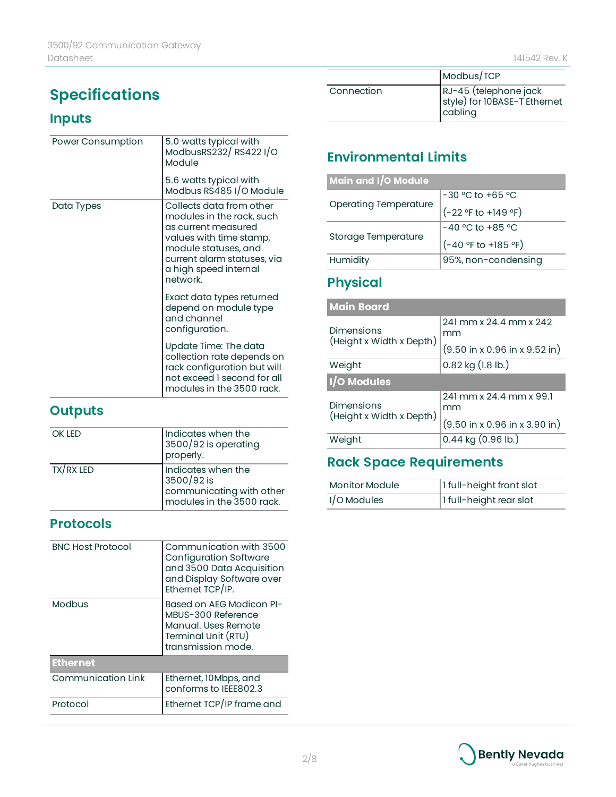# **Specifications**

# **Inputs**

| Power Consumption | 5.0 watts typical with<br>ModbusRS232/RS4221/O<br>Module                                                                                                                                            |
|-------------------|-----------------------------------------------------------------------------------------------------------------------------------------------------------------------------------------------------|
|                   | 5.6 watts typical with<br>Modbus RS485 I/O Module                                                                                                                                                   |
| Data Types        | Collects data from other<br>modules in the rack, such<br>as current measured<br>values with time stamp,<br>module statuses, and<br>current alarm statuses, via<br>a high speed internal<br>network. |
|                   | Exact data types returned<br>depend on module type<br>and channel<br>configuration.                                                                                                                 |
|                   | Update Time: The data<br>collection rate depends on<br>rack configuration but will<br>not exceed 1 second for all<br>modules in the 3500 rack.                                                      |

# **Outputs**

| <b>OK IFD</b> | Indicates when the<br>3500/92 is operating<br>properly.                                   |
|---------------|-------------------------------------------------------------------------------------------|
| TX/RX LED     | Indicates when the<br>3500/92 is<br>communicating with other<br>modules in the 3500 rack. |

### **Protocols**

| <b>BNC Host Protocol</b>  | Communication with 3500<br><b>Configuration Software</b><br>and 3500 Data Acquisition<br>and Display Software over<br>Ethernet TCP/IP. |
|---------------------------|----------------------------------------------------------------------------------------------------------------------------------------|
| Modbus                    | Based on AEG Modicon PI-<br>MBUS-300 Reference<br>Manual. Uses Remote<br>Terminal Unit (RTU)<br>transmission mode.                     |
| <b>Ethernet</b>           |                                                                                                                                        |
| <b>Communication Link</b> | Ethernet, 10 Mbps, and<br>conforms to IEEE802.3                                                                                        |
| Protocol                  | Ethernet TCP/IP frame and                                                                                                              |

|            | Modbus/TCP                                                       |
|------------|------------------------------------------------------------------|
| Connection | RJ-45 (telephone jack<br>style) for 10BASE-T Ethernet<br>cabling |

# **Environmental Limits**

| Main and I/O Module          |                       |
|------------------------------|-----------------------|
|                              | $-30$ °C to +65 °C    |
| <b>Operating Temperature</b> | (-22 °F to +149 °F)   |
| Storage Temperature          | $-40$ °C to +85 °C    |
|                              | $(-40 °F to +185 °F)$ |
| Humidity                     | 95%, non-condensing   |

# **Physical**

| <b>Main Board</b>                             |                                                           |
|-----------------------------------------------|-----------------------------------------------------------|
| <b>Dimensions</b><br>(Height x Width x Depth) | 241 mm x 24.4 mm x 242<br>mm                              |
|                                               | $(9.50 \text{ in } x 0.96 \text{ in } x 9.52 \text{ in})$ |
| Weight                                        | $0.82$ kg $(1.8$ lb.)                                     |
| I/O Modules                                   |                                                           |
| <b>Dimensions</b><br>(Height x Width x Depth) | 241 mm x 24.4 mm x 99.1<br>mm                             |
|                                               | $(9.50 \text{ in } x 0.96 \text{ in } x 3.90 \text{ in})$ |
| Weight                                        | $0.44$ kg $(0.96$ lb.)                                    |

# **Rack Space Requirements**

| Monitor Module | 1 full-height front slot |
|----------------|--------------------------|
| $1/O$ Modules  | 1 full-height rear slot  |

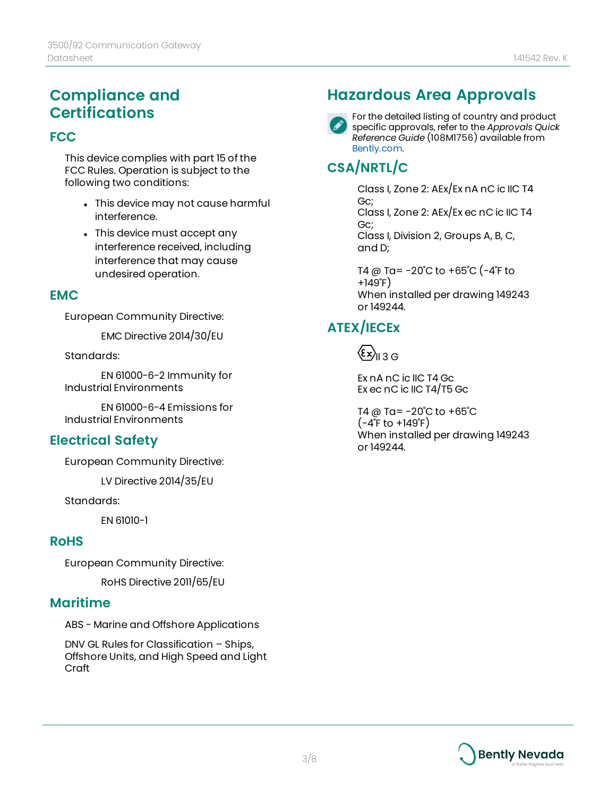# **Compliance and Certifications**

### **FCC**

This device complies with part 15 of the FCC Rules. Operation is subject to the following two conditions:

- This device may not cause harmful interference.
- This device must accept any interference received, including interference that may cause undesired operation.

#### **EMC**

European Community Directive:

EMC Directive 2014/30/EU

Standards:

EN 61000-6-2 Immunity for Industrial Environments

EN 61000-6-4 Emissions for Industrial Environments

### **Electrical Safety**

European Community Directive:

LV Directive 2014/35/EU

Standards:

EN 61010-1

#### **RoHS**

European Community Directive:

RoHS Directive 2011/65/EU

### **Maritime**

ABS - Marine and Offshore Applications

DNV GL Rules for Classification – Ships, Offshore Units, and High Speed and Light Craft

# **Hazardous Area Approvals**



For the detailed listing of country and product specific approvals, refer to the *Approvals Quick Reference Guide* (108M1756) available from [Bently.com.](http://www.bently.com/)

# **CSA/NRTL/C**

Class I, Zone 2: AEx/Ex nA nC ic IIC T4 Gc; Class I, Zone 2: AEx/Ex ec nC ic IIC T4 Gc; Class I, Division 2, Groups A, B, C, and D;

T4 @ Ta= -20˚C to +65˚C (-4˚F to +149˚F) When installed per drawing 149243 or 149244.

# **ATEX/IECEx**

 $\langle \epsilon x \rangle_{\text{II} 3 \text{G}}$ 

Ex nA nC ic IIC T4 Gc Ex ec nC ic IIC T4/T5 Gc

T4 @ Ta= $-20^{\circ}$ C to  $+65^{\circ}$ C  $(-4^{\circ}$ F to  $+149^{\circ}$ F) When installed per drawing 149243 or 149244.

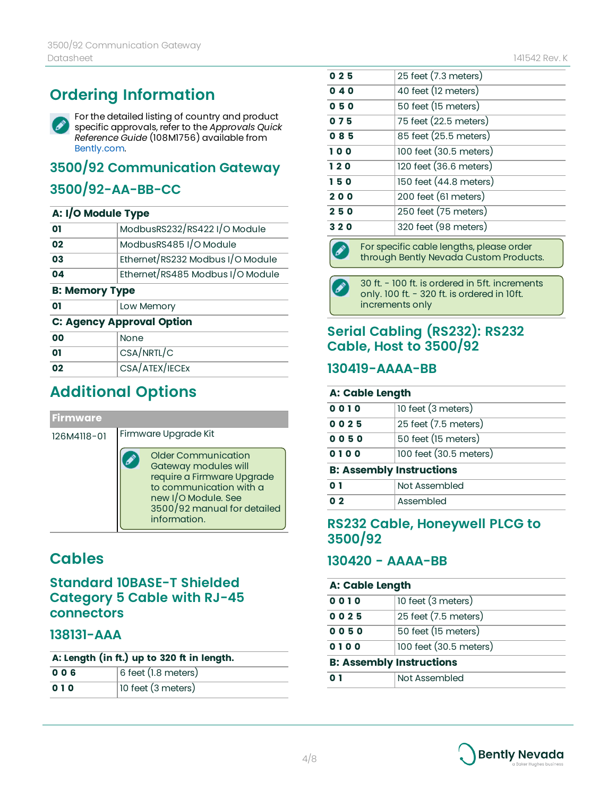# **Ordering Information**

For the detailed listing of country and product Ø specific approvals, refer to the *Approvals Quick Reference Guide* (108M1756) available from [Bently.com.](http://www.bently.com/)

# **3500/92 Communication Gateway**

# **3500/92-AA-BB-CC**

#### **A: I/O Module Type**

| 01                               | ModbusRS232/RS422 I/O Module     |  |
|----------------------------------|----------------------------------|--|
| 02                               | ModbusRS485 I/O Module           |  |
| 03                               | Ethernet/RS232 Modbus I/O Module |  |
| 04                               | Ethernet/RS485 Modbus I/O Module |  |
| <b>B: Memory Type</b>            |                                  |  |
| 01                               | Low Memory                       |  |
| <b>C: Agency Approval Option</b> |                                  |  |
| 00                               | None                             |  |
| 01                               | CSA/NRTL/C                       |  |

# **Additional Options**

**02** CSA/ATEX/IECEX

| <b>Firmware</b> |                                                                                                                                                                            |  |
|-----------------|----------------------------------------------------------------------------------------------------------------------------------------------------------------------------|--|
| 126M4118-01     | Firmware Upgrade Kit                                                                                                                                                       |  |
|                 | Older Communication<br>Gateway modules will<br>require a Firmware Upgrade<br>to communication with a<br>new I/O Module. See<br>3500/92 manual for detailed<br>information. |  |

# **Cables**

### **Standard 10BASE-T Shielded Category 5 Cable with RJ-45 connectors**

### **138131-AAA**

| A: Length (in ft.) up to 320 ft in length. |                       |
|--------------------------------------------|-----------------------|
| 006                                        | $6$ feet (1.8 meters) |
| 010                                        | 10 feet (3 meters)    |

| 040 | 40 feet (12 meters)                     |
|-----|-----------------------------------------|
| 050 | 50 feet (15 meters)                     |
| 075 | 75 feet (22.5 meters)                   |
| 085 | 85 feet (25.5 meters)                   |
| 100 | 100 feet (30.5 meters)                  |
| 120 | 120 feet (36.6 meters)                  |
| 150 | 150 feet (44.8 meters)                  |
| 200 | 200 feet (61 meters)                    |
| 250 | 250 feet (75 meters)                    |
| 320 | 320 feet (98 meters)                    |
|     | For specific cable lenaths please order |

**0 2 5**  25 feet (7.3 meters)

For specific cable lengths, please order through Bently Nevada Custom Products.

30 ft. - 100 ft. is ordered in 5ft. increments only. 100 ft. - 320 ft. is ordered in 10ft. increments only

### **Serial Cabling (RS232): RS232 Cable, Host to 3500/92**

### **130419-AAAA-BB**

#### **A: Cable Length**

| 0010                            | 10 feet (3 meters)       |  |
|---------------------------------|--------------------------|--|
| 0025                            | $25$ feet $(7.5$ meters) |  |
| 0050                            | 50 feet (15 meters)      |  |
| 0100                            | 100 feet (30.5 meters)   |  |
| <b>B: Assembly Instructions</b> |                          |  |
| 0 <sub>1</sub>                  | Not Assembled            |  |
| 0 <sub>2</sub>                  | Assembled                |  |

### **RS232 Cable, Honeywell PLCG to 3500/92**

### **130420 - AAAA-BB**

#### **A: Cable Length**

| 0010                            | 10 feet (3 meters)     |
|---------------------------------|------------------------|
| 0025                            | 25 feet (7.5 meters)   |
| 0050                            | 50 feet (15 meters)    |
| 0100                            | 100 feet (30.5 meters) |
| <b>B: Assembly Instructions</b> |                        |
| 0 1<br>Not Assembled            |                        |

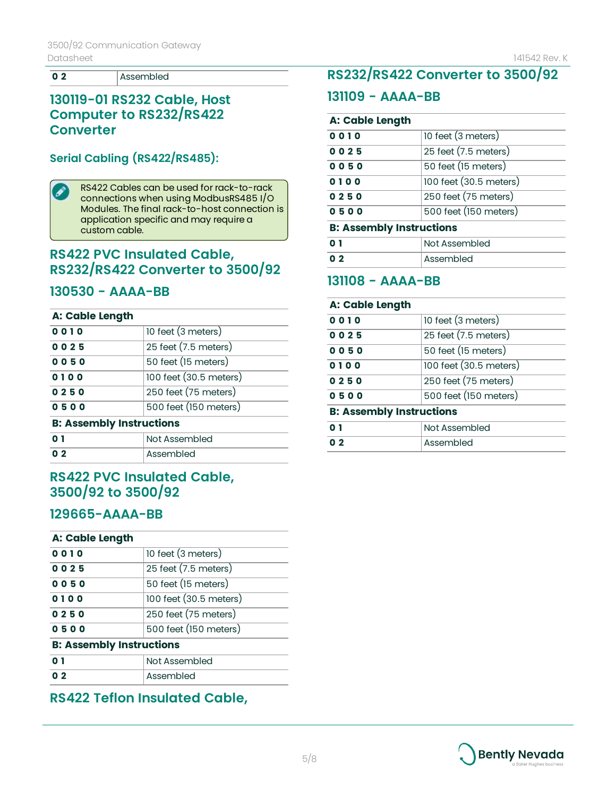**02 Assembled** 

### **130119-01 RS232 Cable, Host Computer to RS232/RS422 Converter**

### **Serial Cabling (RS422/RS485):**

D

RS422 Cables can be used for rack-to-rack connections when using ModbusRS485 I/O Modules. The final rack-to-host connection is application specific and may require a custom cable.

### **RS422 PVC Insulated Cable, RS232/RS422 Converter to 3500/92**

#### **130530 - AAAA-BB**

#### **A: Cable Length**

| 500 feet (150 meters)  |
|------------------------|
|                        |
| 250 feet (75 meters)   |
| 100 feet (30.5 meters) |
| 50 feet (15 meters)    |
| 25 feet (7.5 meters)   |
| 10 feet (3 meters)     |
|                        |

|       | Not Assembled |
|-------|---------------|
| . በ ጋ | Assembled     |

### **RS422 PVC Insulated Cable, 3500/92 to 3500/92**

### **129665-AAAA-BB**

#### **A: Cable Length**

| 0010                            | 10 feet (3 meters)       |
|---------------------------------|--------------------------|
| 0025                            | $25$ feet $(7.5$ meters) |
| 0050                            | 50 feet (15 meters)      |
| 0100                            | 100 feet (30.5 meters)   |
| 0250                            | 250 feet (75 meters)     |
| 0500                            | 500 feet (150 meters)    |
| <b>B: Assembly Instructions</b> |                          |
| 0 1                             | Not Assembled            |
| በ ጋ                             | Assembled                |

### **RS422 Teflon Insulated Cable,**

# **RS232/RS422 Converter to 3500/92**

#### **131109 - AAAA-BB**

#### **A: Cable Length**

| 0010                            | 10 feet (3 meters)       |
|---------------------------------|--------------------------|
| 0025                            | $25$ feet $(7.5$ meters) |
| 0050                            | 50 feet (15 meters)      |
| 0100                            | 100 feet (30.5 meters)   |
| 0250                            | 250 feet (75 meters)     |
| 0500                            | 500 feet (150 meters)    |
| <b>B: Assembly Instructions</b> |                          |
| $\mathbf{0}$ 1                  | Not Assembled            |

# **131108 - AAAA-BB**

**0 2 Assembled** 

#### **A: Cable Length**

| 0010                            | 10 feet (3 meters)     |
|---------------------------------|------------------------|
| 0025                            | 25 feet (7.5 meters)   |
| 0050                            | 50 feet (15 meters)    |
| 0100                            | 100 feet (30.5 meters) |
| 0250                            | 250 feet (75 meters)   |
| 0500                            | 500 feet (150 meters)  |
| <b>B: Assembly Instructions</b> |                        |
| 0 <sub>1</sub>                  | Not Assembled          |
| 0 <sub>2</sub>                  | Assembled              |
|                                 |                        |

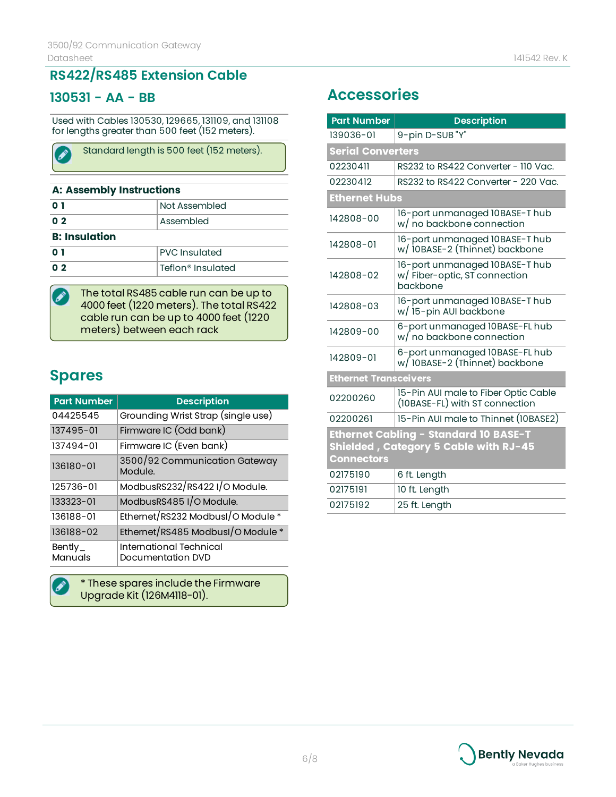## **RS422/RS485 Extension Cable**

### **130531 - AA - BB**

Í

∕`

Used with Cables 130530, 129665, 131109, and 131108 for lengths greater than 500 feet (152 meters).

| Standard length is 500 feet (152 meters). |  |
|-------------------------------------------|--|
|                                           |  |

#### **A: Assembly Instructions**

| Assembled            |
|----------------------|
|                      |
|                      |
| <b>PVC</b> Insulated |
| Teflon® Insulated    |
|                      |

The total RS485 cable run can be up to 4000 feet (1220 meters). The total RS422 cable run can be up to 4000 feet (1220 meters) between each rack

# **Spares**

| <b>Part Number</b> | <b>Description</b>                           |
|--------------------|----------------------------------------------|
| 04425545           | Grounding Wrist Strap (single use)           |
| 137495-01          | Firmware IC (Odd bank)                       |
| 137494-01          | Firmware IC (Even bank)                      |
| 136180-01          | 3500/92 Communication Gateway<br>Module.     |
| 125736-01          | ModbusRS232/RS422 I/O Module.                |
| 133323-01          | ModbusRS485 I/O Module.                      |
| 136188-01          | Ethernet/RS232 ModbusI/O Module *            |
| 136188-02          | Ethernet/RS485 ModbusI/O Module *            |
| Bently_<br>Manuals | International Technical<br>Documentation DVD |

\* These spares include the Firmware Upgrade Kit (126M4118-01).

# **Accessories**

| <b>Part Number</b>                                                                                         | <b>Description</b>                                                         |
|------------------------------------------------------------------------------------------------------------|----------------------------------------------------------------------------|
| 139036-01                                                                                                  | 9-pin D-SUB "Y"                                                            |
| <b>Serial Converters</b>                                                                                   |                                                                            |
| 02230411                                                                                                   | RS232 to RS422 Converter - 110 Vac.                                        |
| 02230412                                                                                                   | RS232 to RS422 Converter - 220 Vac.                                        |
| <b>Ethernet Hubs</b>                                                                                       |                                                                            |
| 142808-00                                                                                                  | 16-port unmanaged 10BASE-Thub<br>w/ no backbone connection                 |
| 142808-01                                                                                                  | 16-port unmanaged 10BASE-Thub<br>w/ 10BASE-2 (Thinnet) backbone            |
| 142808-02                                                                                                  | 16-port unmanaged 10BASE-Thub<br>w/ Fiber-optic, ST connection<br>backbone |
| 142808-03                                                                                                  | 16-port unmanaged 10BASE-Thub<br>w/15-pin AUI backbone                     |
| 142809-00                                                                                                  | 6-port unmanaged I0BASE-FL hub<br>w/ no backbone connection                |
| 142809-01                                                                                                  | 6-port unmanaged I0BASE-FL hub<br>w/ 10BASE-2 (Thinnet) backbone           |
| <b>Ethernet Transceivers</b>                                                                               |                                                                            |
| 02200260                                                                                                   | 15-Pin AUI male to Fiber Optic Cable<br>(10BASE-FL) with ST connection     |
| 02200261                                                                                                   | 15-Pin AUI male to Thinnet (10BASE2)                                       |
| <b>Ethernet Cabling - Standard 10 BASE-T</b><br>Shielded, Category 5 Cable with RJ-45<br><b>Connectors</b> |                                                                            |
| 02175190                                                                                                   | 6 ft. Length                                                               |
| 02175191                                                                                                   | 10 ft. Length                                                              |
| 02175192                                                                                                   | 25 ft. Length                                                              |

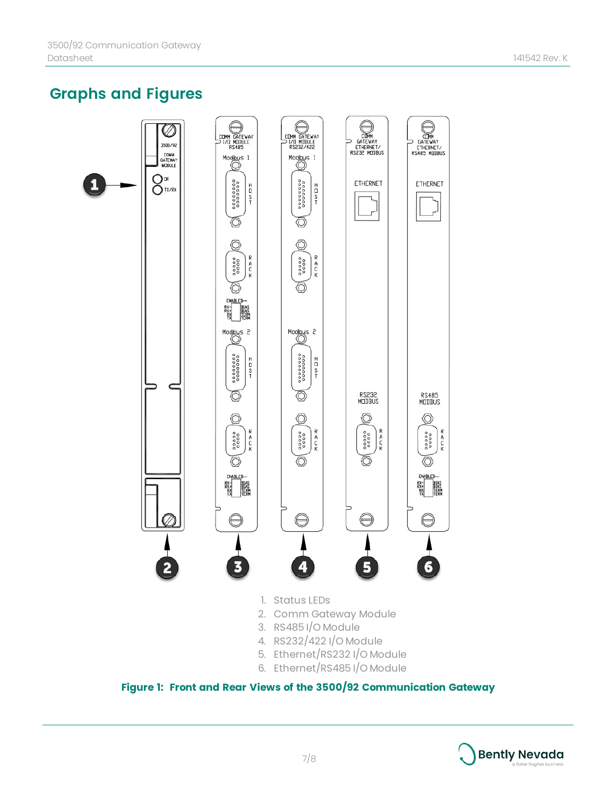# **Graphs and Figures**



- 5. Ethernet/RS232 I/O Module
- 6. Ethernet/RS485 I/O Module

**Figure 1: Front and Rear Views of the 3500/92 Communication Gateway**